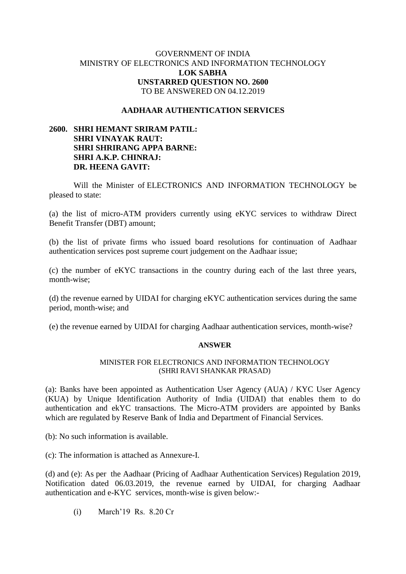## GOVERNMENT OF INDIA MINISTRY OF ELECTRONICS AND INFORMATION TECHNOLOGY **LOK SABHA UNSTARRED QUESTION NO. 2600** TO BE ANSWERED ON 04.12.2019

### **AADHAAR AUTHENTICATION SERVICES**

# **2600. SHRI HEMANT SRIRAM PATIL: SHRI VINAYAK RAUT: SHRI SHRIRANG APPA BARNE: SHRI A.K.P. CHINRAJ: DR. HEENA GAVIT:**

Will the Minister of ELECTRONICS AND INFORMATION TECHNOLOGY be pleased to state:

(a) the list of micro-ATM providers currently using eKYC services to withdraw Direct Benefit Transfer (DBT) amount;

(b) the list of private firms who issued board resolutions for continuation of Aadhaar authentication services post supreme court judgement on the Aadhaar issue;

(c) the number of eKYC transactions in the country during each of the last three years, month-wise;

(d) the revenue earned by UIDAI for charging eKYC authentication services during the same period, month-wise; and

(e) the revenue earned by UIDAI for charging Aadhaar authentication services, month-wise?

#### **ANSWER**

## MINISTER FOR ELECTRONICS AND INFORMATION TECHNOLOGY (SHRI RAVI SHANKAR PRASAD)

(a): Banks have been appointed as Authentication User Agency (AUA) / KYC User Agency (KUA) by Unique Identification Authority of India (UIDAI) that enables them to do authentication and ekYC transactions. The Micro-ATM providers are appointed by Banks which are regulated by Reserve Bank of India and Department of Financial Services.

(b): No such information is available.

(c): The information is attached as Annexure-I.

(d) and (e): As per the Aadhaar (Pricing of Aadhaar Authentication Services) Regulation 2019, Notification dated 06.03.2019, the revenue earned by UIDAI, for charging Aadhaar authentication and e-KYC services, month-wise is given below:-

(i) March'19 Rs. 8.20 Cr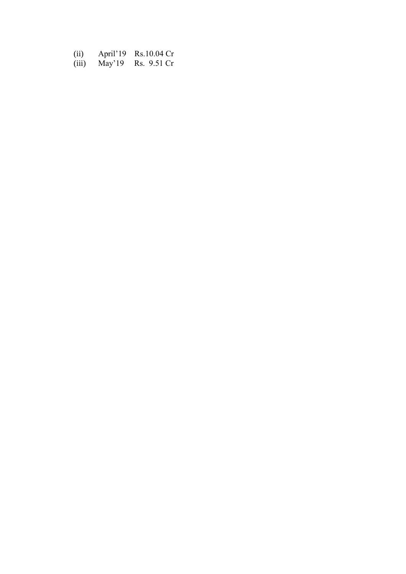| (ii)  |        | April'19 Rs.10.04 Cr |
|-------|--------|----------------------|
| (iii) | May'19 | Rs. 9.51 Cr          |